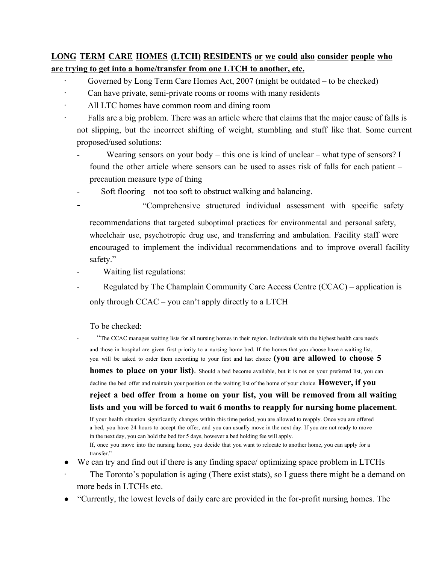# **LONG TERM CARE HOMES (LTCH) RESIDENTS or we could also consider people who are trying to get into a home/transfer from one LTCH to another, etc.**

- ∙ Governed by Long Term Care Homes Act, 2007 (might be outdated to be checked)
- Can have private, semi-private rooms or rooms with many residents
- ∙ All LTC homes have common room and dining room
- ∙ Falls are a big problem. There was an article where that claims that the major cause of falls is not slipping, but the incorrect shifting of weight, stumbling and stuff like that. Some current proposed/used solutions:
	- Wearing sensors on your body this one is kind of unclear what type of sensors? I found the other article where sensors can be used to asses risk of falls for each patient – precaution measure type of thing
	- Soft flooring not too soft to obstruct walking and balancing.
		- "Comprehensive structured individual assessment with specific safety

recommendations that targeted suboptimal practices for environmental and personal safety, wheelchair use, psychotropic drug use, and transferring and ambulation. Facility staff were encouraged to implement the individual recommendations and to improve overall facility safety."

- Waiting list regulations:
- Regulated by The Champlain Community Care Access Centre (CCAC) application is only through CCAC – you can't apply directly to a LTCH

To be checked:

"The CCAC manages waiting lists for all nursing homes in their region. Individuals with the highest health care needs and those in hospital are given first priority to a nursing home bed. If the homes that you choose have a waiting list, you will be asked to order them according to your first and last choice **(you are allowed to choose 5**

**homes to place on your list)**. Should <sup>a</sup> bed become available, but it is not on your preferred list, you can

decline the bed offer and maintain your position on the waiting list of the home of your choice. **However, if you**

# **reject a bed offer from a home on your list, you will be removed from all waiting lists and you will be forced to wait 6 months to reapply for nursing home placement.**

If your health situation significantly changes within this time period, you are allowed to reapply. Once you are offered a bed, you have 24 hours to accept the offer, and you can usually move in the next day. If you are not ready to move in the next day, you can hold the bed for 5 days, however a bed holding fee will apply.

If, once you move into the nursing home, you decide that you want to relocate to another home, you can apply for a transfer."

- We can try and find out if there is any finding space/ optimizing space problem in LTCHs
- The Toronto's population is aging (There exist stats), so I guess there might be a demand on more beds in LTCHs etc.
- "Currently, the lowest levels of daily care are provided in the for-profit nursing homes. The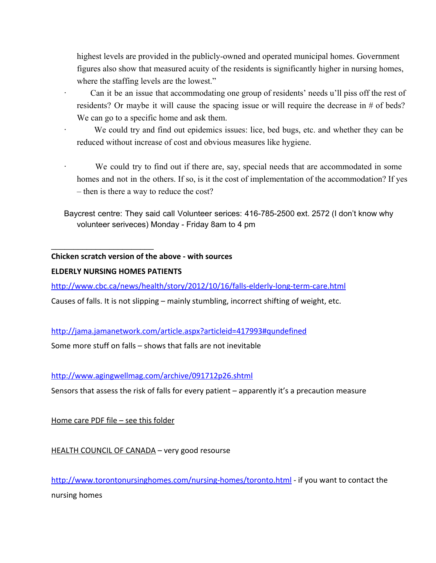highest levels are provided in the publicly-owned and operated municipal homes. Government figures also show that measured acuity of the residents is significantly higher in nursing homes, where the staffing levels are the lowest."

∙ Can it be an issue that accommodating one group of residents' needs u'll piss off the rest of residents? Or maybe it will cause the spacing issue or will require the decrease in # of beds? We can go to a specific home and ask them.

∙ We could try and find out epidemics issues: lice, bed bugs, etc. and whether they can be reduced without increase of cost and obvious measures like hygiene.

We could try to find out if there are, say, special needs that are accommodated in some homes and not in the others. If so, is it the cost of implementation of the accommodation? If yes – then is there a way to reduce the cost?

Baycrest centre: They said call Volunteer serices: 416-785-2500 ext. 2572 (I don't know why volunteer seriveces) Monday - Friday 8am to 4 pm

#### **Chicken scratch version of the above - with sources**

#### **ELDERLY NURSING HOMES PATIENTS**

 $\overline{\phantom{a}}$  , and the set of the set of the set of the set of the set of the set of the set of the set of the set of the set of the set of the set of the set of the set of the set of the set of the set of the set of the s

[http://www.cbc.ca/news/health/story/2012/10/16/falls-elderly-long-term-care.html](http://www.google.com/url?q=http%3A%2F%2Fwww.cbc.ca%2Fnews%2Fhealth%2Fstory%2F2012%2F10%2F16%2Ffalls-elderly-long-term-care.html&sa=D&sntz=1&usg=AFQjCNHC9PNjCPK7YlsJijzOITSRAxPWZQ)

Causes of falls. It is not slipping – mainly stumbling, incorrect shifting of weight, etc.

[http://jama.jamanetwork.com/article.aspx?articleid=417993#qundefined](http://www.google.com/url?q=http%3A%2F%2Fjama.jamanetwork.com%2Farticle.aspx%3Farticleid%3D417993%23qundefined&sa=D&sntz=1&usg=AFQjCNH8Dx0weQaBjmvbddj8R3jJjA9q4w)

Some more stuff on falls – shows that falls are not inevitable

## [http://www.agingwellmag.com/archive/091712p26.shtml](http://www.google.com/url?q=http%3A%2F%2Fwww.agingwellmag.com%2Farchive%2F091712p26.shtml&sa=D&sntz=1&usg=AFQjCNEkvnE50WyzqJk-3gKjFNGpyjqNgg)

Sensors that assess the risk of falls for every patient – apparently it's a precaution measure

Home care PDF file - see this folder

HEALTH COUNCIL OF CANADA – very good resourse

[http://www.torontonursinghomes.com/nursing-homes/toronto.html](http://www.google.com/url?q=http%3A%2F%2Fwww.torontonursinghomes.com%2Fnursing-homes%2Ftoronto.html&sa=D&sntz=1&usg=AFQjCNFrqbjRWgTrkjWVi582tO0Jszb49g) - if you want to contact the nursing homes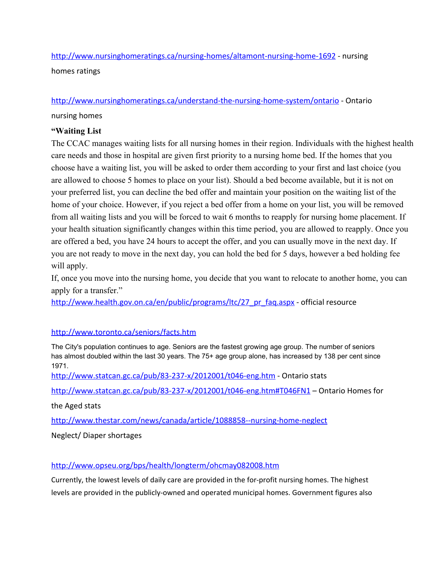[http://www.nursinghomeratings.ca/nursing-homes/altamont-nursing-home-1692](http://www.google.com/url?q=http%3A%2F%2Fwww.nursinghomeratings.ca%2Fnursing-homes%2Faltamont-nursing-home-1692&sa=D&sntz=1&usg=AFQjCNGAYFSmlH3klBp9Q9b7cdFfJ7p9rw) - nursing homes ratings

#### [http://www.nursinghomeratings.ca/understand-the-nursing-home-system/ontario](http://www.google.com/url?q=http%3A%2F%2Fwww.nursinghomeratings.ca%2Funderstand-the-nursing-home-system%2Fontario&sa=D&sntz=1&usg=AFQjCNF6d9XLUT8lGCG6mBJj_N86fKTDJQ) - Ontario

nursing homes

## **"Waiting List**

The CCAC manages waiting lists for all nursing homes in their region. Individuals with the highest health care needs and those in hospital are given first priority to a nursing home bed. If the homes that you choose have a waiting list, you will be asked to order them according to your first and last choice (you are allowed to choose 5 homes to place on your list). Should a bed become available, but it is not on your preferred list, you can decline the bed offer and maintain your position on the waiting list of the home of your choice. However, if you reject a bed offer from a home on your list, you will be removed from all waiting lists and you will be forced to wait 6 months to reapply for nursing home placement. If your health situation significantly changes within this time period, you are allowed to reapply. Once you are offered a bed, you have 24 hours to accept the offer, and you can usually move in the next day. If you are not ready to move in the next day, you can hold the bed for 5 days, however a bed holding fee will apply.

If, once you move into the nursing home, you decide that you want to relocate to another home, you can apply for a transfer."

[http://www.health.gov.on.ca/en/public/programs/ltc/27\\_pr\\_faq.aspx](http://www.google.com/url?q=http%3A%2F%2Fwww.health.gov.on.ca%2Fen%2Fpublic%2Fprograms%2Fltc%2F27_pr_faq.aspx&sa=D&sntz=1&usg=AFQjCNFGlsrxdybbZp2nwOmahoSG2UxokQ) - official resource

## [http://www.toronto.ca/seniors/facts.htm](http://www.google.com/url?q=http%3A%2F%2Fwww.toronto.ca%2Fseniors%2Ffacts.htm&sa=D&sntz=1&usg=AFQjCNEAAv2ij7l6YteUwpoDw9oWP32svQ)

The City's population continues to age. Seniors are the fastest growing age group. The number of seniors has almost doubled within the last 30 years. The 75+ age group alone, has increased by 138 per cent since 1971.

[http://www.statcan.gc.ca/pub/83-237-x/2012001/t046-eng.htm](http://www.google.com/url?q=http%3A%2F%2Fwww.statcan.gc.ca%2Fpub%2F83-237-x%2F2012001%2Ft046-eng.htm&sa=D&sntz=1&usg=AFQjCNFXoPeoJE2DWoGntDKSt4py7pVcyQ) - Ontario stats

[http://www.statcan.gc.ca/pub/83-237-x/2012001/t046-eng.htm#T046FN1](http://www.google.com/url?q=http%3A%2F%2Fwww.statcan.gc.ca%2Fpub%2F83-237-x%2F2012001%2Ft046-eng.htm%23T046FN1&sa=D&sntz=1&usg=AFQjCNHc_9pqcqmgz_E73bD1BhfYeptJZg) – Ontario Homes for

the Aged stats

[http://www.thestar.com/news/canada/article/1088858--nursing-home-neglect](http://www.google.com/url?q=http%3A%2F%2Fwww.thestar.com%2Fnews%2Fcanada%2Farticle%2F1088858--nursing-home-neglect&sa=D&sntz=1&usg=AFQjCNGmZ4wLWCDORS3FZjoKN9txNg-7nQ)

Neglect/ Diaper shortages

[http://www.opseu.org/bps/health/longterm/ohcmay082008.htm](http://www.google.com/url?q=http%3A%2F%2Fwww.opseu.org%2Fbps%2Fhealth%2Flongterm%2Fohcmay082008.htm&sa=D&sntz=1&usg=AFQjCNGtRj49mOWHgGyaWl64H1r4BYgU_w)

Currently, the lowest levels of daily care are provided in the for-profit nursing homes. The highest levels are provided in the publicly-owned and operated municipal homes. Government figures also